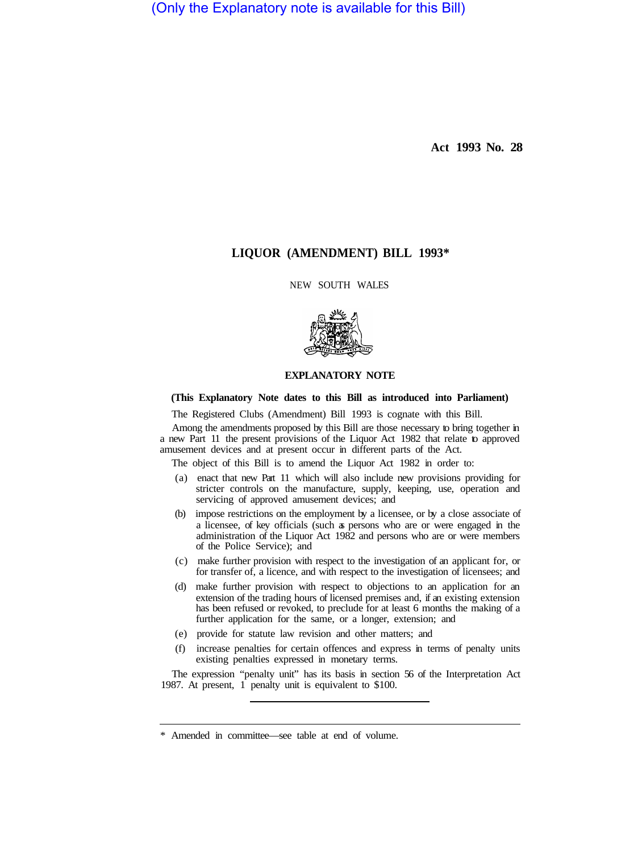(Only the Explanatory note is available for this Bill)

**Act 1993 No. 28** 

# **LIQUOR (AMENDMENT) BILL 1993\***

NEW SOUTH WALES



### **EXPLANATORY NOTE**

#### **(This Explanatory Note dates to this Bill as introduced into Parliament)**

The Registered Clubs (Amendment) Bill 1993 is cognate with this Bill.

Among the amendments proposed by this Bill are those necessary to bring together in a new Part 11 the present provisions of the Liquor Act 1982 that relate to approved amusement devices and at present occur in different parts of the Act.

The object of this Bill is to amend the Liquor Act 1982 in order to:

- (a) enact that new Part 11 which will also include new provisions providing for stricter controls on the manufacture, supply, keeping, use, operation and servicing of approved amusement devices; and
- (b) impose restrictions on the employment by a licensee, or by a close associate of a licensee, of key officials (such as persons who are or were engaged in the administration of the Liquor Act 1982 and persons who are or were members of the Police Service); and
- (c) make further provision with respect to the investigation of an applicant for, or for transfer of, a licence, and with respect to the investigation of licensees; and
- (d) make further provision with respect to objections to an application for an extension of the trading hours of licensed premises and, if an existing extension has been refused or revoked, to preclude for at least 6 months the making of a further application for the same, or a longer, extension; and
- (e) provide for statute law revision and other matters; and
- (f) increase penalties for certain offences and express in terms of penalty units existing penalties expressed in monetary terms.

The expression "penalty unit" has its basis in section 56 of the Interpretation Act 1987. At present, 1 penalty unit is equivalent to \$100.

<sup>\*</sup> Amended in committee—see table at end of volume.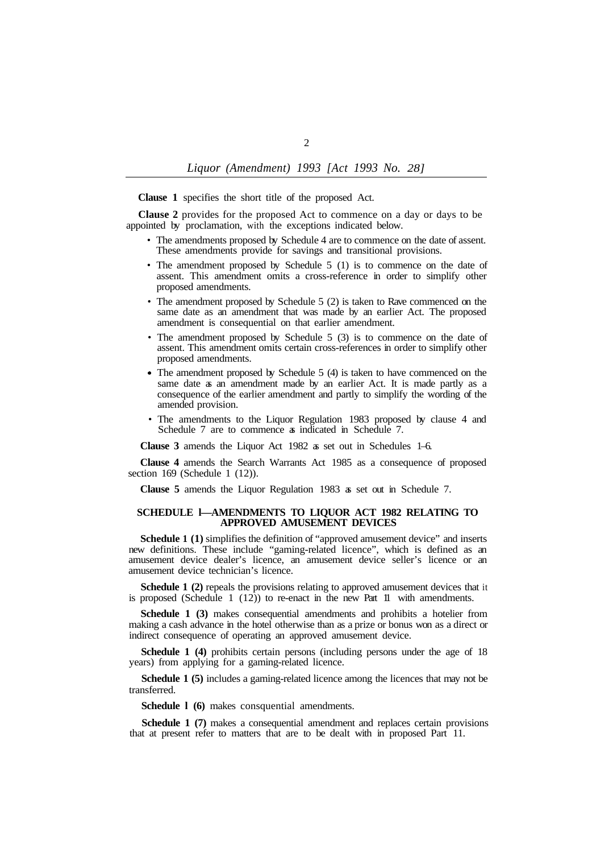**Clause 1** specifies the short title of the proposed Act.

**Clause 2** provides for the proposed Act to commence on a day or days to be appointed by proclamation, with the exceptions indicated below.

- The amendments proposed by Schedule 4 are to commence on the date of assent. These amendments provide for savings and transitional provisions.
- The amendment proposed by Schedule 5 (1) is to commence on the date of assent. This amendment omits a cross-reference in order to simplify other proposed amendments.
- The amendment proposed by Schedule 5 (2) is taken to Rave commenced on the same date as an amendment that was made by an earlier Act. The proposed amendment is consequential on that earlier amendment.
- The amendment proposed by Schedule 5 (3) is to commence on the date of assent. This amendment omits certain cross-references in order to simplify other proposed amendments.
- The amendment proposed by Schedule 5 (4) is taken to have commenced on the same date as an amendment made by an earlier Act. It is made partly as a consequence of the earlier amendment and partly to simplify the wording of the amended provision.
- The amendments to the Liquor Regulation 1983 proposed by clause 4 and Schedule 7 are to commence a indicated in Schedule 7.

**Clause 3** amends the Liquor Act 1982 as set out in Schedules 1–6.

**Clause 4** amends the Search Warrants Act 1985 as a consequence of proposed section 169 (Schedule 1 (12)).

**Clause 5** amends the Liquor Regulation 1983 as set out in Schedule 7.

#### **SCHEDULE l—AMENDMENTS TO LIQUOR ACT 1982 RELATING TO APPROVED AMUSEMENT DEVICES**

**Schedule 1 (1)** simplifies the definition of "approved amusement device" and inserts new definitions. These include "gaming-related licence", which is defined as an amusement device dealer's licence, an amusement device seller's licence or an amusement device technician's licence.

**Schedule 1 (2)** repeals the provisions relating to approved amusement devices that it is proposed (Schedule  $1(12)$ ) to re-enact in the new Part 11 with amendments.

**Schedule 1 (3)** makes consequential amendments and prohibits a hotelier from making a cash advance in the hotel otherwise than as a prize or bonus won as a direct or indirect consequence of operating an approved amusement device.

**Schedule 1 (4)** prohibits certain persons (including persons under the age of 18 years) from applying for a gaming-related licence.

**Schedule 1 (5)** includes a gaming-related licence among the licences that may not be transferred.

**Schedule l (6)** makes consquential amendments.

**Schedule 1 (7)** makes a consequential amendment and replaces certain provisions that at present refer to matters that are to be dealt with in proposed Part 11.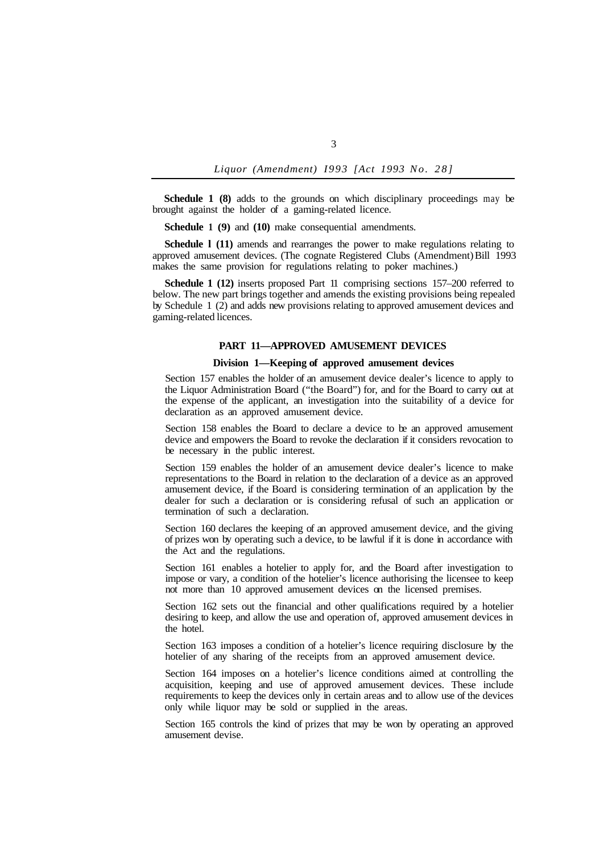**Schedule 1 (8)** adds to the grounds on which disciplinary proceedings may be brought against the holder of a gaming-related licence.

**Schedule 1 (9)** and **(10)** make consequential amendments.

**Schedule l (11)** amends and rearranges the power to make regulations relating to approved amusement devices. (The cognate Registered Clubs (Amendment) Bill 1993 makes the same provision for regulations relating to poker machines.)

**Schedule 1 (12)** inserts proposed Part 11 comprising sections 157–200 referred to below. The new part brings together and amends the existing provisions being repealed by Schedule 1 (2) and adds new provisions relating to approved amusement devices and gaming-related licences.

### **PART 11—APPROVED AMUSEMENT DEVICES**

### **Division 1—Keeping of approved amusement devices**

Section 157 enables the holder of an amusement device dealer's licence to apply to the Liquor Administration Board ("the Board") for, and for the Board to carry out at the expense of the applicant, an investigation into the suitability of a device for declaration as an approved amusement device.

Section 158 enables the Board to declare a device to be an approved amusement device and empowers the Board to revoke the declaration if it considers revocation to be necessary in the public interest.

Section 159 enables the holder of an amusement device dealer's licence to make representations to the Board in relation to the declaration of a device as an approved amusement device, if the Board is considering termination of an application by the dealer for such a declaration or is considering refusal of such an application or termination of such a declaration.

Section 160 declares the keeping of an approved amusement device, and the giving of prizes won by operating such a device, to be lawful if it is done in accordance with the Act and the regulations.

Section 161 enables a hotelier to apply for, and the Board after investigation to impose or vary, a condition of the hotelier's licence authorising the licensee to keep not more than 10 approved amusement devices on the licensed premises.

Section 162 sets out the financial and other qualifications required by a hotelier desiring to keep, and allow the use and operation of, approved amusement devices in the hotel.

Section 163 imposes a condition of a hotelier's licence requiring disclosure by the hotelier of any sharing of the receipts from an approved amusement device.

Section 164 imposes on a hotelier's licence conditions aimed at controlling the acquisition, keeping and use of approved amusement devices. These include requirements to keep the devices only in certain areas and to allow use of the devices only while liquor may be sold or supplied in the areas.

Section 165 controls the kind of prizes that may be won by operating an approved amusement devise.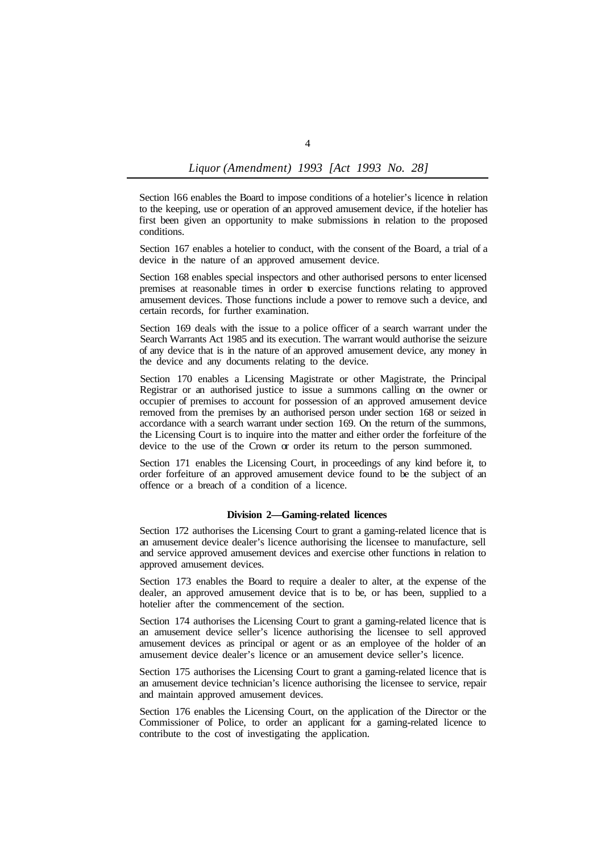Section l66 enables the Board to impose conditions of a hotelier's licence in relation to the keeping, use or operation of an approved amusement device, if the hotelier has first been given an opportunity to make submissions in relation to the proposed conditions.

Section 167 enables a hotelier to conduct, with the consent of the Board, a trial of a device in the nature of an approved amusement device.

Section 168 enables special inspectors and other authorised persons to enter licensed premises at reasonable times in order to exercise functions relating to approved amusement devices. Those functions include a power to remove such a device, and certain records, for further examination.

Section 169 deals with the issue to a police officer of a search warrant under the Search Warrants Act 1985 and its execution. The warrant would authorise the seizure of any device that is in the nature of an approved amusement device, any money in the device and any documents relating to the device.

Section 170 enables a Licensing Magistrate or other Magistrate, the Principal Registrar or an authorised justice to issue a summons calling on the owner or occupier of premises to account for possession of an approved amusement device removed from the premises by an authorised person under section 168 or seized in accordance with a search warrant under section 169. On the return of the summons, the Licensing Court is to inquire into the matter and either order the forfeiture of the device to the use of the Crown or order its return to the person summoned.

Section 171 enables the Licensing Court, in proceedings of any kind before it, to order forfeiture of an approved amusement device found to be the subject of an offence or a breach of a condition of a licence.

#### **Division 2—Gaming-related licences**

Section 172 authorises the Licensing Court to grant a gaming-related licence that is an amusement device dealer's licence authorising the licensee to manufacture, sell and service approved amusement devices and exercise other functions in relation to approved amusement devices.

Section 173 enables the Board to require a dealer to alter, at the expense of the dealer, an approved amusement device that is to be, or has been, supplied to a hotelier after the commencement of the section.

Section 174 authorises the Licensing Court to grant a gaming-related licence that is an amusement device seller's licence authorising the licensee to sell approved amusement devices as principal or agent or as an employee of the holder of an amusement device dealer's licence or an amusement device seller's licence.

Section 175 authorises the Licensing Court to grant a gaming-related licence that is an amusement device technician's licence authorising the licensee to service, repair and maintain approved amusement devices.

Section 176 enables the Licensing Court, on the application of the Director or the Commissioner of Police, to order an applicant for a gaming-related licence to contribute to the cost of investigating the application.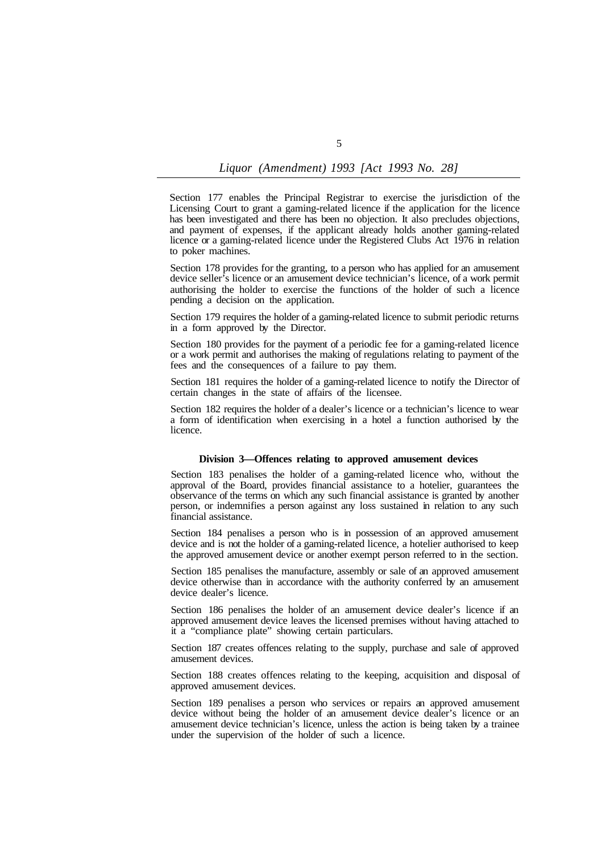Section 177 enables the Principal Registrar to exercise the jurisdiction of the Licensing Court to grant a gaming-related licence if the application for the licence has been investigated and there has been no objection. It also precludes objections, and payment of expenses, if the applicant already holds another gaming-related licence or a gaming-related licence under the Registered Clubs Act 1976 in relation to poker machines.

Section 178 provides for the granting, to a person who has applied for an amusement device seller's licence or an amusement device technician's licence, of a work permit authorising the holder to exercise the functions of the holder of such a licence pending a decision on the application.

Section 179 requires the holder of a gaming-related licence to submit periodic returns in a form approved by the Director.

Section 180 provides for the payment of a periodic fee for a gaming-related licence or a work permit and authorises the making of regulations relating to payment of the fees and the consequences of a failure to pay them.

Section 181 requires the holder of a gaming-related licence to notify the Director of certain changes in the state of affairs of the licensee.

Section 182 requires the holder of a dealer's licence or a technician's licence to wear a form of identification when exercising in a hotel a function authorised by the licence.

#### **Division 3—Offences relating to approved amusement devices**

Section 183 penalises the holder of a gaming-related licence who, without the approval of the Board, provides financial assistance to a hotelier, guarantees the observance of the terms on which any such financial assistance is granted by another person, or indemnifies a person against any loss sustained in relation to any such financial assistance.

Section 184 penalises a person who is in possession of an approved amusement device and is not the holder of a gaming-related licence, a hotelier authorised to keep the approved amusement device or another exempt person referred to in the section.

Section 185 penalises the manufacture, assembly or sale of an approved amusement device otherwise than in accordance with the authority conferred by an amusement device dealer's licence.

Section 186 penalises the holder of an amusement device dealer's licence if an approved amusement device leaves the licensed premises without having attached to it a "compliance plate" showing certain particulars.

Section 187 creates offences relating to the supply, purchase and sale of approved amusement devices.

Section 188 creates offences relating to the keeping, acquisition and disposal of approved amusement devices.

Section 189 penalises a person who services or repairs an approved amusement device without being the holder of an amusement device dealer's licence or an amusement device technician's licence, unless the action is being taken by a trainee under the supervision of the holder of such a licence.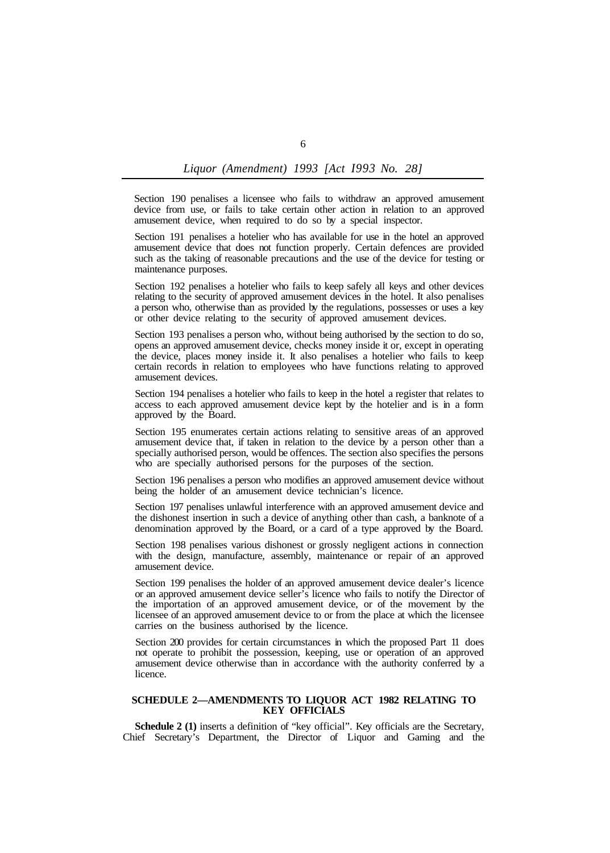Section 190 penalises a licensee who fails to withdraw an approved amusement device from use, or fails to take certain other action in relation to an approved amusement device, when required to do so by a special inspector.

Section 191 penalises a hotelier who has available for use in the hotel an approved amusement device that does not function properly. Certain defences are provided such as the taking of reasonable precautions and the use of the device for testing or maintenance purposes.

Section 192 penalises a hotelier who fails to keep safely all keys and other devices relating to the security of approved amusement devices in the hotel. It also penalises a person who, otherwise than as provided by the regulations, possesses or uses a key or other device relating to the security of approved amusement devices.

Section 193 penalises a person who, without being authorised by the section to do so, opens an approved amusement device, checks money inside it or, except in operating the device, places money inside it. It also penalises a hotelier who fails to keep certain records in relation to employees who have functions relating to approved amusement devices.

Section 194 penalises a hotelier who fails to keep in the hotel a register that relates to access to each approved amusement device kept by the hotelier and is in a form approved by the Board.

Section 195 enumerates certain actions relating to sensitive areas of an approved amusement device that, if taken in relation to the device by a person other than a specially authorised person, would be offences. The section also specifies the persons who are specially authorised persons for the purposes of the section.

Section 196 penalises a person who modifies an approved amusement device without being the holder of an amusement device technician's licence.

Section 197 penalises unlawful interference with an approved amusement device and the dishonest insertion in such a device of anything other than cash, a banknote of a denomination approved by the Board, or a card of a type approved by the Board.

Section 198 penalises various dishonest or grossly negligent actions in connection with the design, manufacture, assembly, maintenance or repair of an approved amusement device.

Section 199 penalises the holder of an approved amusement device dealer's licence or an approved amusement device seller's licence who fails to notify the Director of the importation of an approved amusement device, or of the movement by the licensee of an approved amusement device to or from the place at which the licensee carries on the business authorised by the licence.

Section 200 provides for certain circumstances in which the proposed Part 11 does not operate to prohibit the possession, keeping, use or operation of an approved amusement device otherwise than in accordance with the authority conferred by a licence.

### **SCHEDULE 2—AMENDMENTS TO LIQUOR ACT 1982 RELATING TO KEY OFFICIALS**

Schedule 2 (1) inserts a definition of "key official". Key officials are the Secretary, Chief Secretary's Department, the Director of Liquor and Gaming and the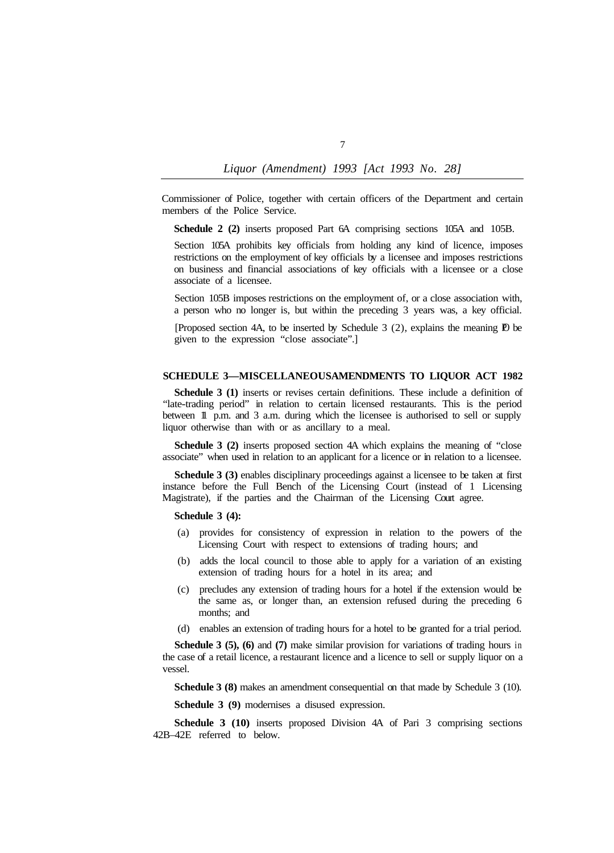Commissioner of Police, together with certain officers of the Department and certain members of the Police Service.

**Schedule 2 (2)** inserts proposed Part 6A comprising sections 105A and 105B.

Section 105A prohibits key officials from holding any kind of licence, imposes restrictions on the employment of key officials by a licensee and imposes restrictions on business and financial associations of key officials with a licensee or a close associate of a licensee.

Section 105B imposes restrictions on the employment of, or a close association with, a person who no longer is, but within the preceding 3 years was, a key official.

[Proposed section 4A, to be inserted by Schedule 3  $(2)$ , explains the meaning  $\mathbb{P}$  be given to the expression "close associate".]

### **SCHEDULE 3-MISCELLANEOUSAMENDMENTS TO LIQUOR ACT 1982**

**Schedule 3 (1)** inserts or revises certain definitions. These include a definition of "late-trading period" in relation to certain licensed restaurants. This is the period between 1 p.m. and 3 a.m. during which the licensee is authorised to sell or supply liquor otherwise than with or as ancillary to a meal.

**Schedule 3 (2)** inserts proposed section 4A which explains the meaning of "close associate" when used in relation to an applicant for a licence or in relation to a licensee.

**Schedule 3 (3)** enables disciplinary proceedings against a licensee to be taken at first instance before the Full Bench of the Licensing Court (instead of 1 Licensing Magistrate), if the parties and the Chairman of the Licensing Court agree.

## **Schedule 3 (4):**

- (a) provides for consistency of expression in relation to the powers of the Licensing Court with respect to extensions of trading hours; and
- (b) adds the local council to those able to apply for a variation of an existing extension of trading hours for a hotel in its area; and
- (c) precludes any extension of trading hours for a hotel if the extension would be the same as, or longer than, an extension refused during the preceding 6 months; and
- (d) enables an extension of trading hours for a hotel to be granted for a trial period.

**Schedule 3 (5), (6)** and **(7)** make similar provision for variations of trading hours in the case of a retail licence, a restaurant licence and a licence to sell or supply liquor on a vessel.

**Schedule 3 (8)** makes an amendment consequential on that made by Schedule 3 (10).

**Schedule 3 (9)** modernises a disused expression.

**Schedule 3 (10)** inserts proposed Division 4A of Pari 3 comprising sections 42B–42E referred to below.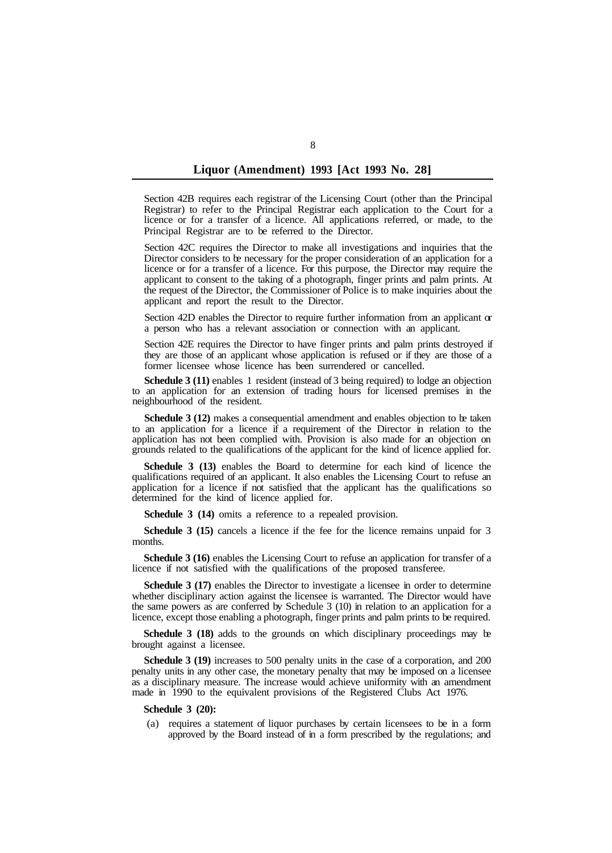Section 42B requires each registrar of the Licensing Court (other than the Principal Registrar) to refer to the Principal Registrar each application to the Court for a licence or for a transfer of a licence. All applications referred, or made, to the Principal Registrar are to be referred to the Director.

Section 42C requires the Director to make all investigations and inquiries that the Director considers to be necessary for the proper consideration of an application for a licence or for a transfer of a licence. For this purpose, the Director may require the applicant to consent to the taking of a photograph, finger prints and palm prints. At the request of the Director, the Commissioner of Police is to make inquiries about the applicant and report the result to the Director.

Section 42D enables the Director to require further information from an applicant  $\alpha$ a person who has a relevant association or connection with an applicant.

Section 42E requires the Director to have finger prints and palm prints destroyed if they are those of an applicant whose application is refused or if they are those of a former licensee whose licence has been surrendered or cancelled.

**Schedule 3 (11)** enables 1 resident (instead of 3 being required) to lodge an objection to an application for an extension of trading hours for licensed premises in the neighbourhood of the resident.

**Schedule 3 (12)** makes a consequential amendment and enables objection to be taken to an application for a licence if a requirement of the Director in relation to the application has not been complied with. Provision is also made for an objection on grounds related to the qualifications of the applicant for the kind of licence applied for.

**Schedule 3 (13)** enables the Board to determine for each kind of licence the qualifications required of an applicant. It also enables the Licensing Court to refuse an application for a licence if not satisfied that the applicant has the qualifications so determined for the kind of licence applied for.

**Schedule 3 (14)** omits a reference to a repealed provision.

**Schedule 3 (15)** cancels a licence if the fee for the licence remains unpaid for 3 months.

Schedule 3 (16) enables the Licensing Court to refuse an application for transfer of a licence if not satisfied with the qualifications of the proposed transferee.

**Schedule 3 (17)** enables the Director to investigate a licensee in order to determine whether disciplinary action against the licensee is warranted. The Director would have the same powers as are conferred by Schedule 3 (10) in relation to an application for a licence, except those enabling a photograph, finger prints and palm prints to be required.

**Schedule 3 (18)** adds to the grounds on which disciplinary proceedings may be brought against a licensee.

**Schedule 3 (19)** increases to 500 penalty units in the case of a corporation, and 200 penalty units in any other case, the monetary penalty that may be imposed on a licensee as a disciplinary measure. The increase would achieve uniformity with an amendment made in 1990 to the equivalent provisions of the Registered Clubs Act 1976.

#### **Schedule 3 (20):**

(a) requires a statement of liquor purchases by certain licensees to be in a form approved by the Board instead of in a form prescribed by the regulations; and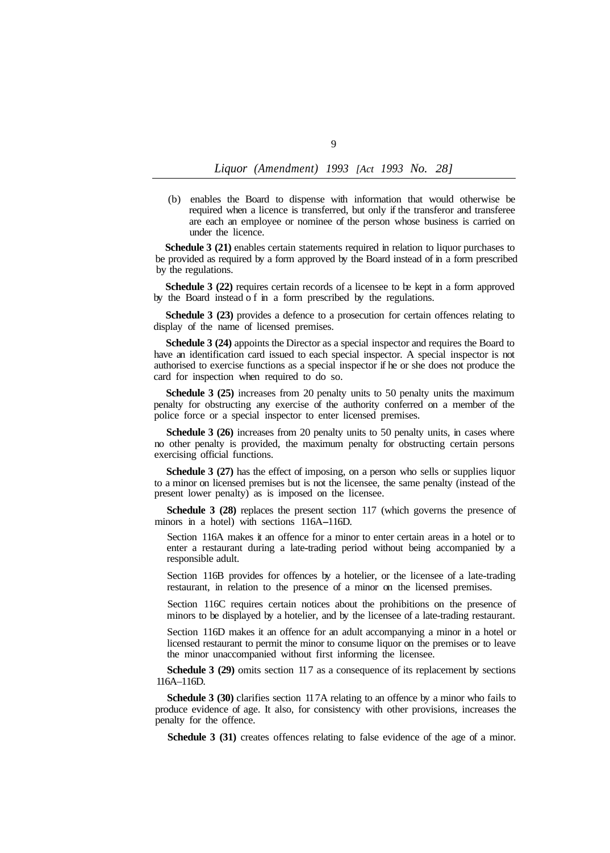(b) enables the Board to dispense with information that would otherwise be required when a licence is transferred, but only if the transferor and transferee are each an employee or nominee of the person whose business is carried on under the licence.

**Schedule 3 (21)** enables certain statements required in relation to liquor purchases to be provided as required by a form approved by the Board instead of in a form prescribed by the regulations.

**Schedule 3 (22)** requires certain records of a licensee to be kept in a form approved by the Board instead of in a form prescribed by the regulations.

**Schedule 3 (23)** provides a defence to a prosecution for certain offences relating to display of the name of licensed premises.

**Schedule 3 (24)** appoints the Director as a special inspector and requires the Board to have an identification card issued to each special inspector. A special inspector is not authorised to exercise functions as a special inspector if he or she does not produce the card for inspection when required to do so.

**Schedule 3 (25)** increases from 20 penalty units to 50 penalty units the maximum penalty for obstructing any exercise of the authority conferred on a member of the police force or a special inspector to enter licensed premises.

**Schedule 3 (26)** increases from 20 penalty units to 50 penalty units, in cases where no other penalty is provided, the maximum penalty for obstructing certain persons exercising official functions.

**Schedule 3 (27)** has the effect of imposing, on a person who sells or supplies liquor to a minor on licensed premises but is not the licensee, the same penalty (instead of the present lower penalty) as is imposed on the licensee.

**Schedule 3 (28)** replaces the present section 117 (which governs the presence of minors in a hotel) with sections 116A-116D.

Section 116A makes it an offence for a minor to enter certain areas in a hotel or to enter a restaurant during a late-trading period without being accompanied by a responsible adult.

Section 116B provides for offences by a hotelier, or the licensee of a late-trading restaurant, in relation to the presence of a minor on the licensed premises.

Section 116C requires certain notices about the prohibitions on the presence of minors to be displayed by a hotelier, and by the licensee of a late-trading restaurant.

Section 116D makes it an offence for an adult accompanying a minor in a hotel or licensed restaurant to permit the minor to consume liquor on the premises or to leave the minor unaccompanied without first informing the licensee.

**Schedule 3 (29)** omits section 117 as a consequence of its replacement by sections 116A-116D.

**Schedule 3 (30)** clarifies section 11 7A relating to an offence by a minor who fails to produce evidence of age. It also, for consistency with other provisions, increases the penalty for the offence.

**Schedule 3 (31)** creates offences relating to false evidence of the age of a minor.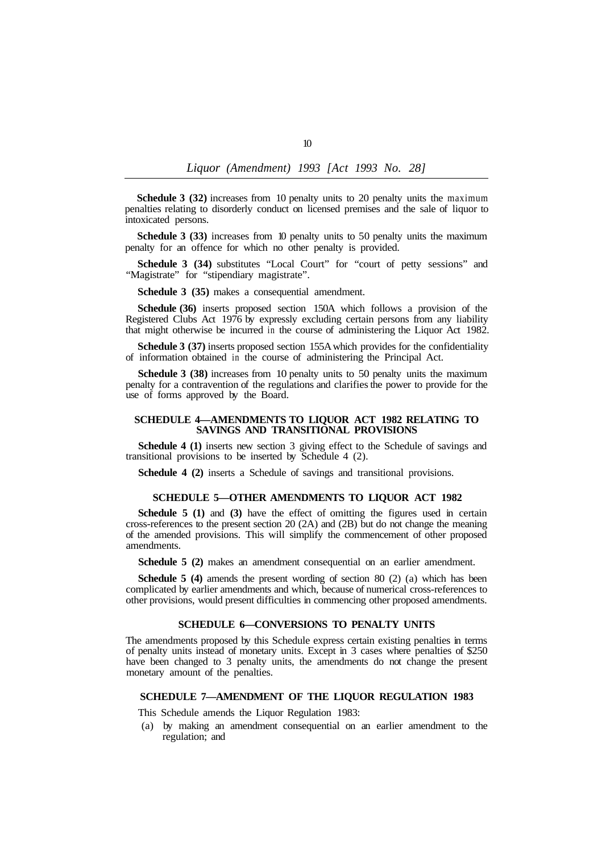**Schedule 3 (32)** increases from 10 penalty units to 20 penalty units the maximum penalties relating to disorderly conduct on licensed premises and the sale of liquor to intoxicated persons.

penalty for an offence for which no other penalty is provided. **Schedule 3 (33)** increases from 10 penalty units to 50 penalty units the maximum

"Magistrate" for "stipendiary magistrate". **Schedule 3 (34)** substitutes "Local Court" for "court of petty sessions" and

**Schedule 3 (35)** makes a consequential amendment.

**Schedule (36)** inserts proposed section 150A which follows a provision of the Registered Clubs Act 1976 by expressly excluding certain persons from any liability that might otherwise be incurred in the course of administering the Liquor Act 1982.

**Schedule 3 (37)** inserts proposed section 155A which provides for the confidentiality of information obtained in the course of administering the Principal Act.

**Schedule 3 (38)** increases from 10 penalty units to 50 penalty units the maximum penalty for a contravention of the regulations and clarifies the power to provide for the use of forms approved by the Board.

### **SCHEDULE 4—AMENDMENTS TO LIQUOR ACT 1982 RELATING TO SAVINGS AND TRANSITIONAL PROVISIONS**

**Schedule 4 (1)** inserts new section 3 giving effect to the Schedule of savings and transitional provisions to be inserted by Schedule 4 (2).

**Schedule 4 (2)** inserts a Schedule of savings and transitional provisions.

#### **SCHEDULE 5—OTHER AMENDMENTS TO LIQUOR ACT 1982**

**Schedule 5 (1)** and (3) have the effect of omitting the figures used in certain cross-references to the present section 20 (2A) and (2B) but do not change the meaning of the amended provisions. This will simplify the commencement of other proposed amendments.

**Schedule 5 (2)** makes an amendment consequential on an earlier amendment.

**Schedule 5 (4)** amends the present wording of section 80 (2) (a) which has been complicated by earlier amendments and which, because of numerical cross-references to other provisions, would present difficulties in commencing other proposed amendments.

## **SCHEDULE 6—CONVERSIONS TO PENALTY UNITS**

The amendments proposed by this Schedule express certain existing penalties in terms of penalty units instead of monetary units. Except in 3 cases where penalties of \$250 have been changed to 3 penalty units, the amendments do not change the present monetary amount of the penalties.

#### **SCHEDULE 7—AMENDMENT OF THE LIQUOR REGULATION 1983**

This Schedule amends the Liquor Regulation 1983:

(a) by making an amendment consequential on an earlier amendment to the regulation; and